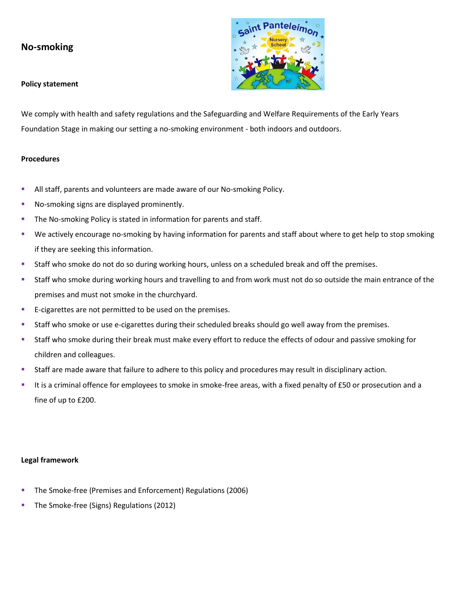## **No-smoking**



We comply with health and safety regulations and the Safeguarding and Welfare Requirements of the Early Years Foundation Stage in making our setting a no-smoking environment - both indoors and outdoors.

## **Procedures**

- **EXEL All staff, parents and volunteers are made aware of our No-smoking Policy.**
- No-smoking signs are displayed prominently.
- **The No-smoking Policy is stated in information for parents and staff.**
- We actively encourage no-smoking by having information for parents and staff about where to get help to stop smoking if they are seeking this information.
- **EXECT Staff who smoke do not do so during working hours, unless on a scheduled break and off the premises.**
- Staff who smoke during working hours and travelling to and from work must not do so outside the main entrance of the premises and must not smoke in the churchyard.
- E-cigarettes are not permitted to be used on the premises.
- Staff who smoke or use e-cigarettes during their scheduled breaks should go well away from the premises.
- Staff who smoke during their break must make every effort to reduce the effects of odour and passive smoking for children and colleagues.
- Staff are made aware that failure to adhere to this policy and procedures may result in disciplinary action.
- It is a criminal offence for employees to smoke in smoke-free areas, with a fixed penalty of £50 or prosecution and a fine of up to £200.

## **Legal framework**

- The Smoke-free (Premises and Enforcement) Regulations (2006)
- The Smoke-free (Signs) Regulations (2012)